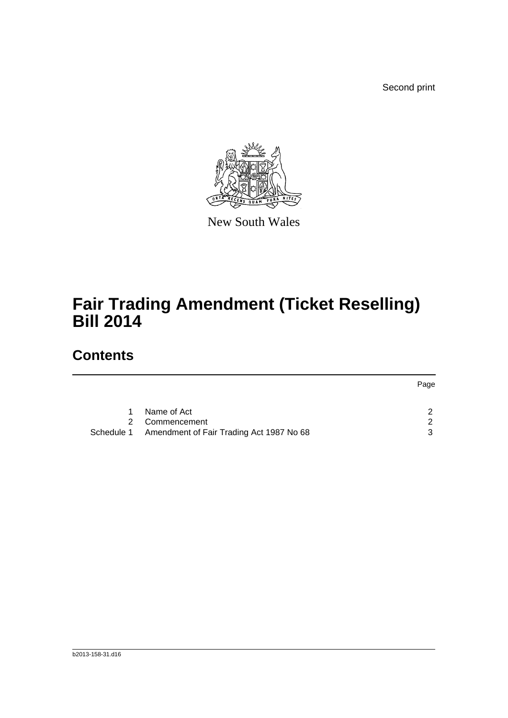Second print



New South Wales

## **Fair Trading Amendment (Ticket Reselling) Bill 2014**

## **Contents**

|    |                                                     | Page |
|----|-----------------------------------------------------|------|
|    |                                                     |      |
| 1. | Name of Act                                         | ົ    |
|    | 2 Commencement                                      | - 2  |
|    | Schedule 1 Amendment of Fair Trading Act 1987 No 68 | ્ર   |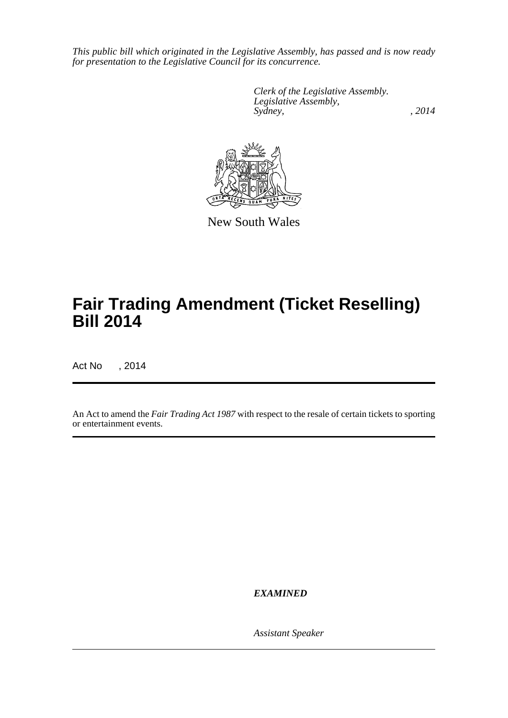*This public bill which originated in the Legislative Assembly, has passed and is now ready for presentation to the Legislative Council for its concurrence.*

> *Clerk of the Legislative Assembly. Legislative Assembly, Sydney,* , 2014



New South Wales

## **Fair Trading Amendment (Ticket Reselling) Bill 2014**

Act No , 2014

An Act to amend the *Fair Trading Act 1987* with respect to the resale of certain tickets to sporting or entertainment events.

*EXAMINED*

*Assistant Speaker*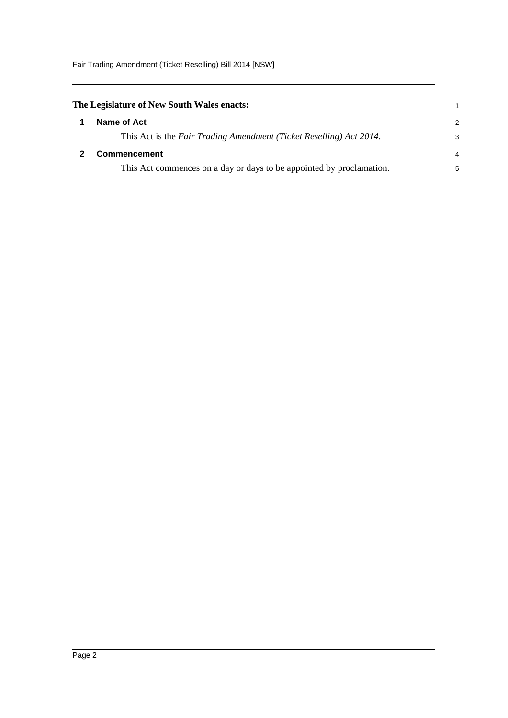Fair Trading Amendment (Ticket Reselling) Bill 2014 [NSW]

<span id="page-2-1"></span><span id="page-2-0"></span>

| The Legislature of New South Wales enacts:                           |               |  |
|----------------------------------------------------------------------|---------------|--|
| Name of Act                                                          | $\mathcal{P}$ |  |
| This Act is the Fair Trading Amendment (Ticket Reselling) Act 2014.  | 3             |  |
| <b>Commencement</b>                                                  | 4             |  |
| This Act commences on a day or days to be appointed by proclamation. | 5             |  |
|                                                                      |               |  |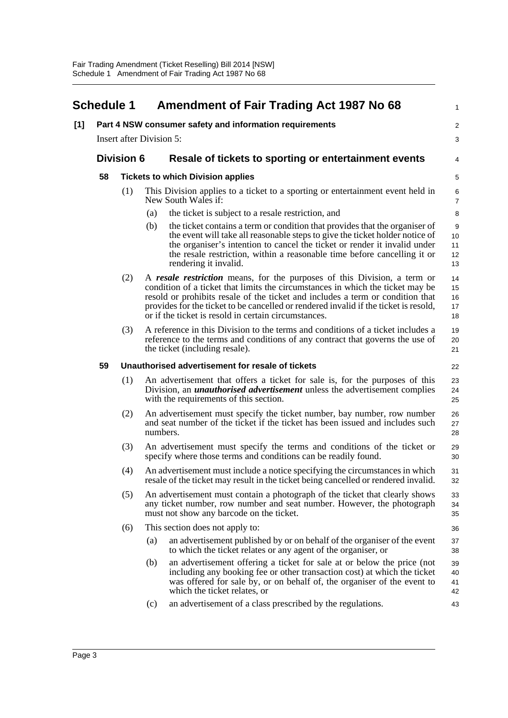<span id="page-3-0"></span>

|                                 | <b>Schedule 1</b> |          | <b>Amendment of Fair Trading Act 1987 No 68</b><br>Part 4 NSW consumer safety and information requirements                                                                                                                                                                                                                                                                                   |  |
|---------------------------------|-------------------|----------|----------------------------------------------------------------------------------------------------------------------------------------------------------------------------------------------------------------------------------------------------------------------------------------------------------------------------------------------------------------------------------------------|--|
| <b>Insert after Division 5:</b> |                   |          |                                                                                                                                                                                                                                                                                                                                                                                              |  |
|                                 | <b>Division 6</b> |          | Resale of tickets to sporting or entertainment events                                                                                                                                                                                                                                                                                                                                        |  |
| 58                              |                   |          | <b>Tickets to which Division applies</b>                                                                                                                                                                                                                                                                                                                                                     |  |
|                                 | (1)               |          | This Division applies to a ticket to a sporting or entertainment event held in<br>New South Wales if:                                                                                                                                                                                                                                                                                        |  |
|                                 |                   | (a)      | the ticket is subject to a resale restriction, and                                                                                                                                                                                                                                                                                                                                           |  |
|                                 |                   | (b)      | the ticket contains a term or condition that provides that the organiser of<br>the event will take all reasonable steps to give the ticket holder notice of<br>the organiser's intention to cancel the ticket or render it invalid under<br>the resale restriction, within a reasonable time before cancelling it or<br>rendering it invalid.                                                |  |
|                                 | (2)               |          | A resale restriction means, for the purposes of this Division, a term or<br>condition of a ticket that limits the circumstances in which the ticket may be<br>resold or prohibits resale of the ticket and includes a term or condition that<br>provides for the ticket to be cancelled or rendered invalid if the ticket is resold,<br>or if the ticket is resold in certain circumstances. |  |
|                                 | (3)               |          | A reference in this Division to the terms and conditions of a ticket includes a<br>reference to the terms and conditions of any contract that governs the use of<br>the ticket (including resale).                                                                                                                                                                                           |  |
| 59                              |                   |          | Unauthorised advertisement for resale of tickets                                                                                                                                                                                                                                                                                                                                             |  |
|                                 | (1)               |          | An advertisement that offers a ticket for sale is, for the purposes of this<br>Division, an <i>unauthorised advertisement</i> unless the advertisement complies<br>with the requirements of this section.                                                                                                                                                                                    |  |
|                                 | (2)               | numbers. | An advertisement must specify the ticket number, bay number, row number<br>and seat number of the ticket if the ticket has been issued and includes such                                                                                                                                                                                                                                     |  |
|                                 | (3)               |          | An advertisement must specify the terms and conditions of the ticket or<br>specify where those terms and conditions can be readily found.                                                                                                                                                                                                                                                    |  |
|                                 | (4)               |          | An advertisement must include a notice specifying the circumstances in which<br>resale of the ticket may result in the ticket being cancelled or rendered invalid.                                                                                                                                                                                                                           |  |
|                                 | (5)               |          | An advertisement must contain a photograph of the ticket that clearly shows<br>any ticket number, row number and seat number. However, the photograph<br>must not show any barcode on the ticket.                                                                                                                                                                                            |  |
|                                 | (6)               |          | This section does not apply to:                                                                                                                                                                                                                                                                                                                                                              |  |
|                                 |                   | (a)      | an advertisement published by or on behalf of the organiser of the event<br>to which the ticket relates or any agent of the organiser, or                                                                                                                                                                                                                                                    |  |
|                                 |                   | (b)      | an advertisement offering a ticket for sale at or below the price (not<br>including any booking fee or other transaction cost) at which the ticket<br>was offered for sale by, or on behalf of, the organiser of the event to<br>which the ticket relates, or                                                                                                                                |  |
|                                 |                   | (c)      | an advertisement of a class prescribed by the regulations.                                                                                                                                                                                                                                                                                                                                   |  |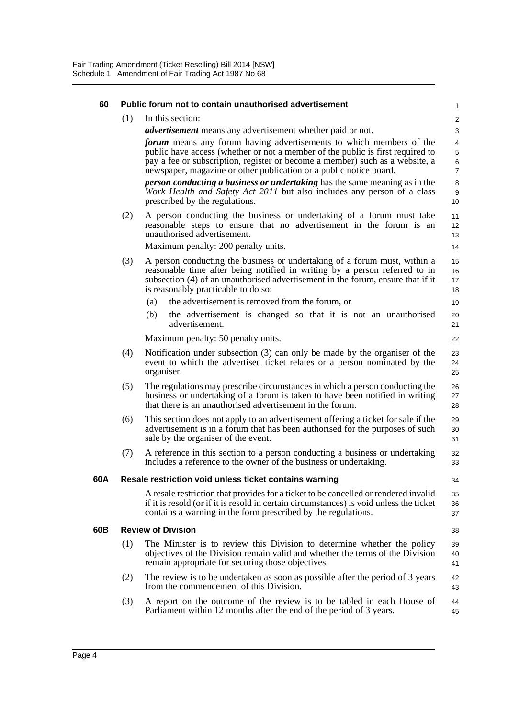| 60  | Public forum not to contain unauthorised advertisement |                                                                                                                                                                                                                                                                                                                                                                                                                                                                                                        |                                               |
|-----|--------------------------------------------------------|--------------------------------------------------------------------------------------------------------------------------------------------------------------------------------------------------------------------------------------------------------------------------------------------------------------------------------------------------------------------------------------------------------------------------------------------------------------------------------------------------------|-----------------------------------------------|
|     | (1)                                                    | In this section:                                                                                                                                                                                                                                                                                                                                                                                                                                                                                       | $\overline{c}$                                |
|     |                                                        | <i>advertisement</i> means any advertisement whether paid or not.                                                                                                                                                                                                                                                                                                                                                                                                                                      | 3                                             |
|     |                                                        | forum means any forum having advertisements to which members of the<br>public have access (whether or not a member of the public is first required to<br>pay a fee or subscription, register or become a member) such as a website, a<br>newspaper, magazine or other publication or a public notice board.<br>person conducting a business or undertaking has the same meaning as in the<br>Work Health and Safety Act 2011 but also includes any person of a class<br>prescribed by the regulations. | 4<br>5<br>6<br>$\overline{7}$<br>8<br>9<br>10 |
|     |                                                        |                                                                                                                                                                                                                                                                                                                                                                                                                                                                                                        |                                               |
|     | (2)                                                    | A person conducting the business or undertaking of a forum must take<br>reasonable steps to ensure that no advertisement in the forum is an<br>unauthorised advertisement.<br>Maximum penalty: 200 penalty units.                                                                                                                                                                                                                                                                                      | 11<br>12<br>13<br>14                          |
|     | (3)                                                    | A person conducting the business or undertaking of a forum must, within a<br>reasonable time after being notified in writing by a person referred to in<br>subsection (4) of an unauthorised advertisement in the forum, ensure that if it<br>is reasonably practicable to do so:                                                                                                                                                                                                                      | 15<br>16<br>17<br>18                          |
|     |                                                        | the advertisement is removed from the forum, or<br>(a)                                                                                                                                                                                                                                                                                                                                                                                                                                                 | 19                                            |
|     |                                                        | (b)<br>the advertisement is changed so that it is not an unauthorised<br>advertisement.                                                                                                                                                                                                                                                                                                                                                                                                                | 20<br>21                                      |
|     |                                                        | Maximum penalty: 50 penalty units.                                                                                                                                                                                                                                                                                                                                                                                                                                                                     | 22                                            |
|     | (4)                                                    | Notification under subsection (3) can only be made by the organiser of the<br>event to which the advertised ticket relates or a person nominated by the<br>organiser.                                                                                                                                                                                                                                                                                                                                  | 23<br>24<br>25                                |
|     | (5)                                                    | The regulations may prescribe circumstances in which a person conducting the<br>business or undertaking of a forum is taken to have been notified in writing<br>that there is an unauthorised advertisement in the forum.                                                                                                                                                                                                                                                                              | 26<br>27<br>28                                |
|     | (6)                                                    | This section does not apply to an advertisement offering a ticket for sale if the<br>advertisement is in a forum that has been authorised for the purposes of such<br>sale by the organiser of the event.                                                                                                                                                                                                                                                                                              | 29<br>30<br>31                                |
|     | (7)                                                    | A reference in this section to a person conducting a business or undertaking<br>includes a reference to the owner of the business or undertaking.                                                                                                                                                                                                                                                                                                                                                      | 32<br>33                                      |
| 60A |                                                        | Resale restriction void unless ticket contains warning                                                                                                                                                                                                                                                                                                                                                                                                                                                 | 34                                            |
|     |                                                        | A resale restriction that provides for a ticket to be cancelled or rendered invalid<br>if it is resold (or if it is resold in certain circumstances) is void unless the ticket<br>contains a warning in the form prescribed by the regulations.                                                                                                                                                                                                                                                        | 35<br>36<br>37                                |
| 60B |                                                        | <b>Review of Division</b>                                                                                                                                                                                                                                                                                                                                                                                                                                                                              | 38                                            |
|     | (1)                                                    | The Minister is to review this Division to determine whether the policy<br>objectives of the Division remain valid and whether the terms of the Division<br>remain appropriate for securing those objectives.                                                                                                                                                                                                                                                                                          | 39<br>40<br>41                                |
|     | (2)                                                    | The review is to be undertaken as soon as possible after the period of 3 years<br>from the commencement of this Division.                                                                                                                                                                                                                                                                                                                                                                              | 42<br>43                                      |
|     | (3)                                                    | A report on the outcome of the review is to be tabled in each House of<br>Parliament within 12 months after the end of the period of 3 years.                                                                                                                                                                                                                                                                                                                                                          | 44<br>45                                      |